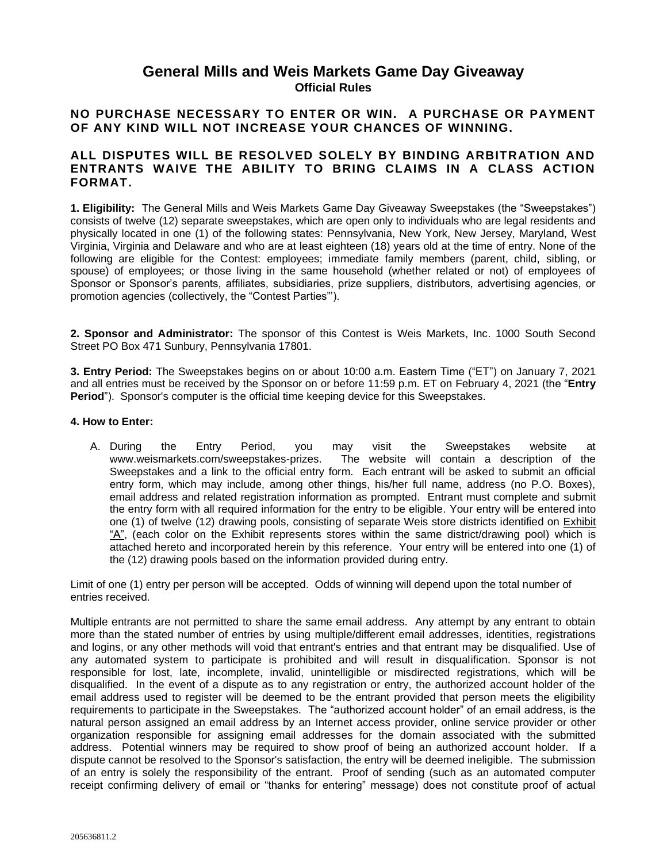## **General Mills and Weis Markets Game Day Giveaway Official Rules**

### **NO PURCHASE NECESSARY TO ENTER OR WIN. A PURCHASE OR PAYMENT OF ANY KIND WILL NOT INCREASE YOUR CHANCES OF WINNING.**

### **ALL DISPUTES WILL BE RESOLVED SOLELY BY BINDING ARBITRATION AND ENTRANTS WAIVE THE ABILITY TO BRING CLAIMS IN A CLASS ACTION FORMAT.**

**1. Eligibility:** The General Mills and Weis Markets Game Day Giveaway Sweepstakes (the "Sweepstakes") consists of twelve (12) separate sweepstakes, which are open only to individuals who are legal residents and physically located in one (1) of the following states: Pennsylvania, New York, New Jersey, Maryland, West Virginia, Virginia and Delaware and who are at least eighteen (18) years old at the time of entry. None of the following are eligible for the Contest: employees; immediate family members (parent, child, sibling, or spouse) of employees; or those living in the same household (whether related or not) of employees of Sponsor or Sponsor's parents, affiliates, subsidiaries, prize suppliers, distributors, advertising agencies, or promotion agencies (collectively, the "Contest Parties"').

**2. Sponsor and Administrator:** The sponsor of this Contest is Weis Markets, Inc. 1000 South Second Street PO Box 471 Sunbury, Pennsylvania 17801.

**3. Entry Period:** The Sweepstakes begins on or about 10:00 a.m. Eastern Time ("ET") on January 7, 2021 and all entries must be received by the Sponsor on or before 11:59 p.m. ET on February 4, 2021 (the "**Entry Period**").Sponsor's computer is the official time keeping device for this Sweepstakes.

#### **4. How to Enter:**

A. During the Entry Period, you may visit the Sweepstakes website at www.weismarkets.com/sweepstakes-prizes. The website will contain a description of the Sweepstakes and a link to the official entry form. Each entrant will be asked to submit an official entry form, which may include, among other things, his/her full name, address (no P.O. Boxes), email address and related registration information as prompted. Entrant must complete and submit the entry form with all required information for the entry to be eligible. Your entry will be entered into one (1) of twelve (12) drawing pools, consisting of separate Weis store districts identified on Exhibit "A", (each color on the Exhibit represents stores within the same district/drawing pool) which is attached hereto and incorporated herein by this reference. Your entry will be entered into one (1) of the (12) drawing pools based on the information provided during entry.

Limit of one (1) entry per person will be accepted. Odds of winning will depend upon the total number of entries received.

Multiple entrants are not permitted to share the same email address. Any attempt by any entrant to obtain more than the stated number of entries by using multiple/different email addresses, identities, registrations and logins, or any other methods will void that entrant's entries and that entrant may be disqualified. Use of any automated system to participate is prohibited and will result in disqualification. Sponsor is not responsible for lost, late, incomplete, invalid, unintelligible or misdirected registrations, which will be disqualified. In the event of a dispute as to any registration or entry, the authorized account holder of the email address used to register will be deemed to be the entrant provided that person meets the eligibility requirements to participate in the Sweepstakes. The "authorized account holder" of an email address, is the natural person assigned an email address by an Internet access provider, online service provider or other organization responsible for assigning email addresses for the domain associated with the submitted address. Potential winners may be required to show proof of being an authorized account holder. If a dispute cannot be resolved to the Sponsor's satisfaction, the entry will be deemed ineligible. The submission of an entry is solely the responsibility of the entrant. Proof of sending (such as an automated computer receipt confirming delivery of email or "thanks for entering" message) does not constitute proof of actual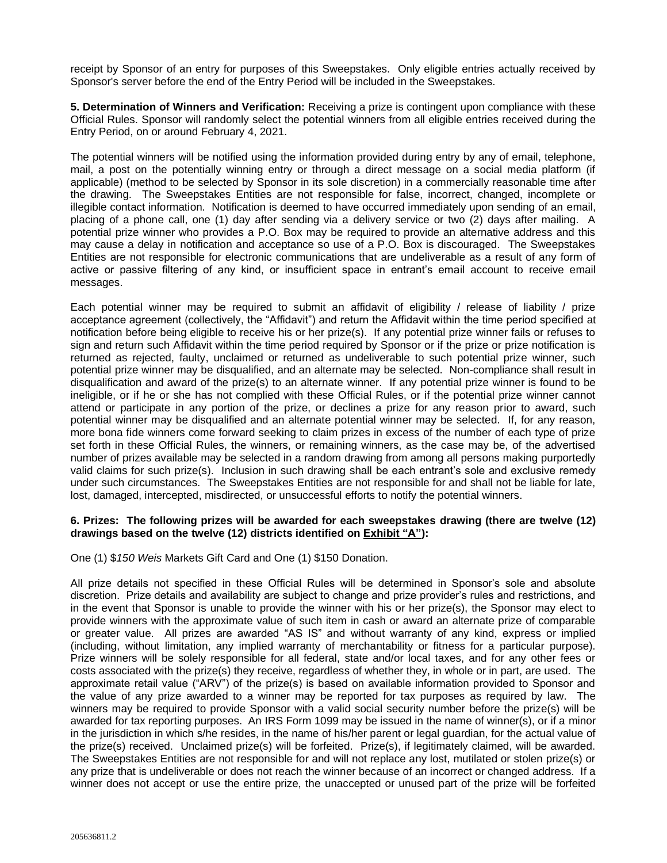receipt by Sponsor of an entry for purposes of this Sweepstakes. Only eligible entries actually received by Sponsor's server before the end of the Entry Period will be included in the Sweepstakes.

**5. Determination of Winners and Verification:** Receiving a prize is contingent upon compliance with these Official Rules. Sponsor will randomly select the potential winners from all eligible entries received during the Entry Period, on or around February 4, 2021.

The potential winners will be notified using the information provided during entry by any of email, telephone, mail, a post on the potentially winning entry or through a direct message on a social media platform (if applicable) (method to be selected by Sponsor in its sole discretion) in a commercially reasonable time after the drawing. The Sweepstakes Entities are not responsible for false, incorrect, changed, incomplete or illegible contact information. Notification is deemed to have occurred immediately upon sending of an email, placing of a phone call, one (1) day after sending via a delivery service or two (2) days after mailing. A potential prize winner who provides a P.O. Box may be required to provide an alternative address and this may cause a delay in notification and acceptance so use of a P.O. Box is discouraged. The Sweepstakes Entities are not responsible for electronic communications that are undeliverable as a result of any form of active or passive filtering of any kind, or insufficient space in entrant's email account to receive email messages.

Each potential winner may be required to submit an affidavit of eligibility / release of liability / prize acceptance agreement (collectively, the "Affidavit") and return the Affidavit within the time period specified at notification before being eligible to receive his or her prize(s). If any potential prize winner fails or refuses to sign and return such Affidavit within the time period required by Sponsor or if the prize or prize notification is returned as rejected, faulty, unclaimed or returned as undeliverable to such potential prize winner, such potential prize winner may be disqualified, and an alternate may be selected. Non-compliance shall result in disqualification and award of the prize(s) to an alternate winner. If any potential prize winner is found to be ineligible, or if he or she has not complied with these Official Rules, or if the potential prize winner cannot attend or participate in any portion of the prize, or declines a prize for any reason prior to award, such potential winner may be disqualified and an alternate potential winner may be selected. If, for any reason, more bona fide winners come forward seeking to claim prizes in excess of the number of each type of prize set forth in these Official Rules, the winners, or remaining winners, as the case may be, of the advertised number of prizes available may be selected in a random drawing from among all persons making purportedly valid claims for such prize(s). Inclusion in such drawing shall be each entrant's sole and exclusive remedy under such circumstances. The Sweepstakes Entities are not responsible for and shall not be liable for late, lost, damaged, intercepted, misdirected, or unsuccessful efforts to notify the potential winners.

#### **6. Prizes: The following prizes will be awarded for each sweepstakes drawing (there are twelve (12) drawings based on the twelve (12) districts identified on Exhibit "A"):**

One (1) \$*150 Weis* Markets Gift Card and One (1) \$150 Donation.

All prize details not specified in these Official Rules will be determined in Sponsor's sole and absolute discretion. Prize details and availability are subject to change and prize provider's rules and restrictions, and in the event that Sponsor is unable to provide the winner with his or her prize(s), the Sponsor may elect to provide winners with the approximate value of such item in cash or award an alternate prize of comparable or greater value. All prizes are awarded "AS IS" and without warranty of any kind, express or implied (including, without limitation, any implied warranty of merchantability or fitness for a particular purpose). Prize winners will be solely responsible for all federal, state and/or local taxes, and for any other fees or costs associated with the prize(s) they receive, regardless of whether they, in whole or in part, are used. The approximate retail value ("ARV") of the prize(s) is based on available information provided to Sponsor and the value of any prize awarded to a winner may be reported for tax purposes as required by law. The winners may be required to provide Sponsor with a valid social security number before the prize(s) will be awarded for tax reporting purposes. An IRS Form 1099 may be issued in the name of winner(s), or if a minor in the jurisdiction in which s/he resides, in the name of his/her parent or legal guardian, for the actual value of the prize(s) received. Unclaimed prize(s) will be forfeited. Prize(s), if legitimately claimed, will be awarded. The Sweepstakes Entities are not responsible for and will not replace any lost, mutilated or stolen prize(s) or any prize that is undeliverable or does not reach the winner because of an incorrect or changed address. If a winner does not accept or use the entire prize, the unaccepted or unused part of the prize will be forfeited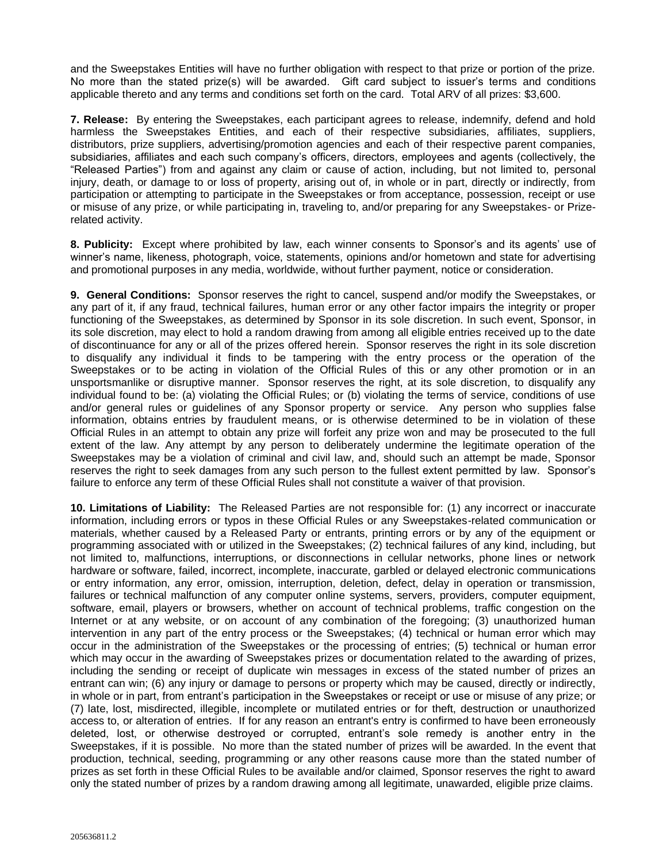and the Sweepstakes Entities will have no further obligation with respect to that prize or portion of the prize. No more than the stated prize(s) will be awarded. Gift card subject to issuer's terms and conditions applicable thereto and any terms and conditions set forth on the card. Total ARV of all prizes: \$3,600.

**7. Release:** By entering the Sweepstakes, each participant agrees to release, indemnify, defend and hold harmless the Sweepstakes Entities, and each of their respective subsidiaries, affiliates, suppliers, distributors, prize suppliers, advertising/promotion agencies and each of their respective parent companies, subsidiaries, affiliates and each such company's officers, directors, employees and agents (collectively, the "Released Parties") from and against any claim or cause of action, including, but not limited to, personal injury, death, or damage to or loss of property, arising out of, in whole or in part, directly or indirectly, from participation or attempting to participate in the Sweepstakes or from acceptance, possession, receipt or use or misuse of any prize, or while participating in, traveling to, and/or preparing for any Sweepstakes- or Prizerelated activity.

**8. Publicity:** Except where prohibited by law, each winner consents to Sponsor's and its agents' use of winner's name, likeness, photograph, voice, statements, opinions and/or hometown and state for advertising and promotional purposes in any media, worldwide, without further payment, notice or consideration.

**9. General Conditions:** Sponsor reserves the right to cancel, suspend and/or modify the Sweepstakes, or any part of it, if any fraud, technical failures, human error or any other factor impairs the integrity or proper functioning of the Sweepstakes, as determined by Sponsor in its sole discretion. In such event, Sponsor, in its sole discretion, may elect to hold a random drawing from among all eligible entries received up to the date of discontinuance for any or all of the prizes offered herein. Sponsor reserves the right in its sole discretion to disqualify any individual it finds to be tampering with the entry process or the operation of the Sweepstakes or to be acting in violation of the Official Rules of this or any other promotion or in an unsportsmanlike or disruptive manner. Sponsor reserves the right, at its sole discretion, to disqualify any individual found to be: (a) violating the Official Rules; or (b) violating the terms of service, conditions of use and/or general rules or guidelines of any Sponsor property or service. Any person who supplies false information, obtains entries by fraudulent means, or is otherwise determined to be in violation of these Official Rules in an attempt to obtain any prize will forfeit any prize won and may be prosecuted to the full extent of the law. Any attempt by any person to deliberately undermine the legitimate operation of the Sweepstakes may be a violation of criminal and civil law, and, should such an attempt be made, Sponsor reserves the right to seek damages from any such person to the fullest extent permitted by law. Sponsor's failure to enforce any term of these Official Rules shall not constitute a waiver of that provision.

**10. Limitations of Liability:** The Released Parties are not responsible for: (1) any incorrect or inaccurate information, including errors or typos in these Official Rules or any Sweepstakes-related communication or materials, whether caused by a Released Party or entrants, printing errors or by any of the equipment or programming associated with or utilized in the Sweepstakes; (2) technical failures of any kind, including, but not limited to, malfunctions, interruptions, or disconnections in cellular networks, phone lines or network hardware or software, failed, incorrect, incomplete, inaccurate, garbled or delayed electronic communications or entry information, any error, omission, interruption, deletion, defect, delay in operation or transmission, failures or technical malfunction of any computer online systems, servers, providers, computer equipment, software, email, players or browsers, whether on account of technical problems, traffic congestion on the Internet or at any website, or on account of any combination of the foregoing; (3) unauthorized human intervention in any part of the entry process or the Sweepstakes; (4) technical or human error which may occur in the administration of the Sweepstakes or the processing of entries; (5) technical or human error which may occur in the awarding of Sweepstakes prizes or documentation related to the awarding of prizes, including the sending or receipt of duplicate win messages in excess of the stated number of prizes an entrant can win; (6) any injury or damage to persons or property which may be caused, directly or indirectly, in whole or in part, from entrant's participation in the Sweepstakes or receipt or use or misuse of any prize; or (7) late, lost, misdirected, illegible, incomplete or mutilated entries or for theft, destruction or unauthorized access to, or alteration of entries. If for any reason an entrant's entry is confirmed to have been erroneously deleted, lost, or otherwise destroyed or corrupted, entrant's sole remedy is another entry in the Sweepstakes, if it is possible. No more than the stated number of prizes will be awarded. In the event that production, technical, seeding, programming or any other reasons cause more than the stated number of prizes as set forth in these Official Rules to be available and/or claimed, Sponsor reserves the right to award only the stated number of prizes by a random drawing among all legitimate, unawarded, eligible prize claims.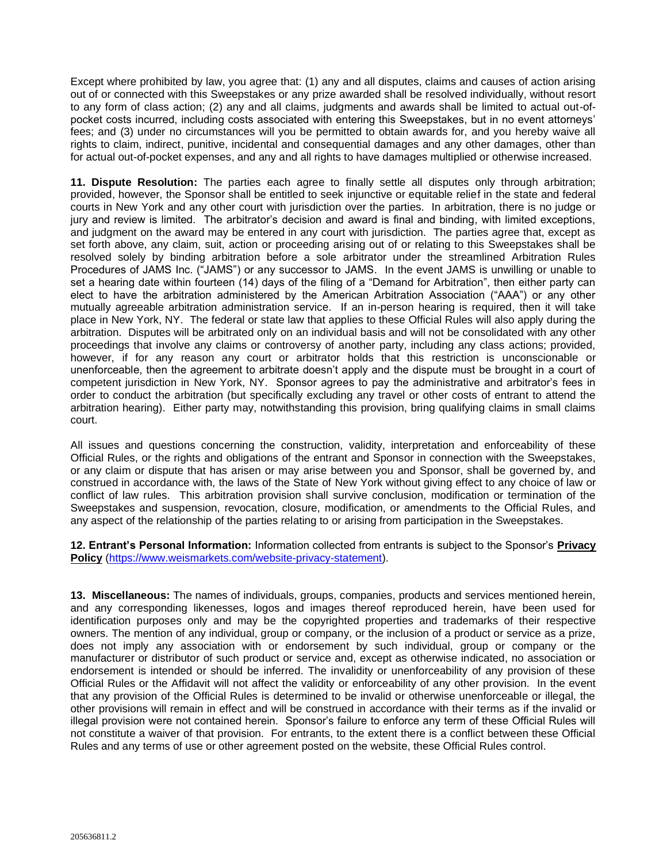Except where prohibited by law, you agree that: (1) any and all disputes, claims and causes of action arising out of or connected with this Sweepstakes or any prize awarded shall be resolved individually, without resort to any form of class action; (2) any and all claims, judgments and awards shall be limited to actual out-ofpocket costs incurred, including costs associated with entering this Sweepstakes, but in no event attorneys' fees; and (3) under no circumstances will you be permitted to obtain awards for, and you hereby waive all rights to claim, indirect, punitive, incidental and consequential damages and any other damages, other than for actual out-of-pocket expenses, and any and all rights to have damages multiplied or otherwise increased.

**11. Dispute Resolution:** The parties each agree to finally settle all disputes only through arbitration; provided, however, the Sponsor shall be entitled to seek injunctive or equitable relief in the state and federal courts in New York and any other court with jurisdiction over the parties. In arbitration, there is no judge or jury and review is limited. The arbitrator's decision and award is final and binding, with limited exceptions, and judgment on the award may be entered in any court with jurisdiction. The parties agree that, except as set forth above, any claim, suit, action or proceeding arising out of or relating to this Sweepstakes shall be resolved solely by binding arbitration before a sole arbitrator under the streamlined Arbitration Rules Procedures of JAMS Inc. ("JAMS") or any successor to JAMS. In the event JAMS is unwilling or unable to set a hearing date within fourteen (14) days of the filing of a "Demand for Arbitration", then either party can elect to have the arbitration administered by the American Arbitration Association ("AAA") or any other mutually agreeable arbitration administration service. If an in-person hearing is required, then it will take place in New York, NY. The federal or state law that applies to these Official Rules will also apply during the arbitration. Disputes will be arbitrated only on an individual basis and will not be consolidated with any other proceedings that involve any claims or controversy of another party, including any class actions; provided, however, if for any reason any court or arbitrator holds that this restriction is unconscionable or unenforceable, then the agreement to arbitrate doesn't apply and the dispute must be brought in a court of competent jurisdiction in New York, NY. Sponsor agrees to pay the administrative and arbitrator's fees in order to conduct the arbitration (but specifically excluding any travel or other costs of entrant to attend the arbitration hearing). Either party may, notwithstanding this provision, bring qualifying claims in small claims court.

All issues and questions concerning the construction, validity, interpretation and enforceability of these Official Rules, or the rights and obligations of the entrant and Sponsor in connection with the Sweepstakes, or any claim or dispute that has arisen or may arise between you and Sponsor, shall be governed by, and construed in accordance with, the laws of the State of New York without giving effect to any choice of law or conflict of law rules. This arbitration provision shall survive conclusion, modification or termination of the Sweepstakes and suspension, revocation, closure, modification, or amendments to the Official Rules, and any aspect of the relationship of the parties relating to or arising from participation in the Sweepstakes.

**12. Entrant's Personal Information:** Information collected from entrants is subject to the Sponsor's **Privacy Policy** (https://www.weismarkets.com/website-privacy-statement).

**13. Miscellaneous:** The names of individuals, groups, companies, products and services mentioned herein, and any corresponding likenesses, logos and images thereof reproduced herein, have been used for identification purposes only and may be the copyrighted properties and trademarks of their respective owners. The mention of any individual, group or company, or the inclusion of a product or service as a prize, does not imply any association with or endorsement by such individual, group or company or the manufacturer or distributor of such product or service and, except as otherwise indicated, no association or endorsement is intended or should be inferred. The invalidity or unenforceability of any provision of these Official Rules or the Affidavit will not affect the validity or enforceability of any other provision. In the event that any provision of the Official Rules is determined to be invalid or otherwise unenforceable or illegal, the other provisions will remain in effect and will be construed in accordance with their terms as if the invalid or illegal provision were not contained herein. Sponsor's failure to enforce any term of these Official Rules will not constitute a waiver of that provision. For entrants, to the extent there is a conflict between these Official Rules and any terms of use or other agreement posted on the website, these Official Rules control.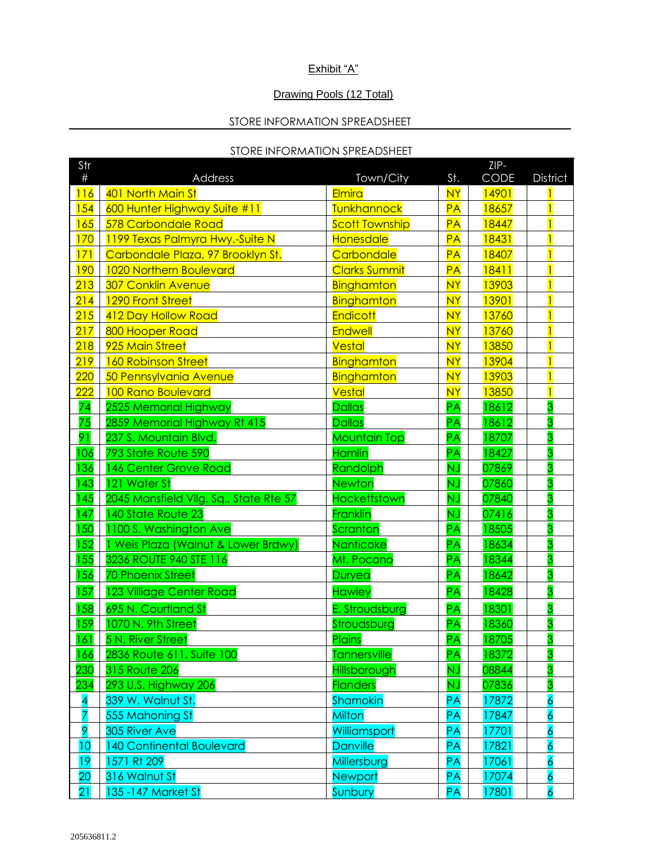## Exhibit "A"

### Drawing Pools (12 Total)

# STORE INFORMATION SPREADSHEET

### STORE INFORMATION SPREADSHEET

| Str              |                                        |                       |           | ZIP-  |                 |
|------------------|----------------------------------------|-----------------------|-----------|-------|-----------------|
| $\#$             | <b>Address</b>                         | Town/City             | St.       | CODE  | <b>District</b> |
| 116              | 401 North Main St                      | Elmira                | <b>NY</b> | 14901 |                 |
| 154              | 600 Hunter Highway Suite #11           | Tunkhannock           | PA        | 18657 |                 |
| 165              | 578 Carbondale Road                    | <b>Scott Township</b> | PA        | 18447 |                 |
| 170              | 1199 Texas Palmyra Hwy.-Suite N        | Honesdale             | PA        | 18431 |                 |
| 171              | Carbondale Plaza, 97 Brooklyn St.      | Carbondale            | PA        | 18407 |                 |
| <b>190</b>       | 1020 Northern Boulevard                | <b>Clarks Summit</b>  | <b>PA</b> | 18411 |                 |
| 213              | <b>307 Conklin Avenue</b>              | Binghamton            | <b>NY</b> | 13903 |                 |
| 214              | 1290 Front Street                      | Binghamton            | <b>NY</b> | 13901 |                 |
| 215              | 412 Day Hollow Road                    | <b>Endicott</b>       | <b>NY</b> | 13760 |                 |
| 217              | 800 Hooper Road                        | <b>Endwell</b>        | <b>NY</b> | 13760 |                 |
| 218              | 925 Main Street                        | <b>Vestal</b>         | <b>NY</b> | 13850 | $\overline{1}$  |
| 219              | <b>160 Robinson Street</b>             | Binghamton            | <b>NY</b> | 13904 |                 |
| 220              | 50 Pennsylvania Avenue                 | Binghamton            | <b>NY</b> | 13903 |                 |
| 222              | 100 Rano Boulevard                     | <b>Vestal</b>         | <b>NY</b> | 13850 |                 |
| $\overline{74}$  | 2525 Memorial Highway                  | <b>Dallas</b>         | <b>PA</b> | 18612 | 3               |
| 75               | 2859 Memorial Highway Rt 415           | <b>Dallas</b>         | <b>PA</b> | 18612 | 3               |
| 91               | 237 S. Mountain Blvd.                  | <b>Mountain Top</b>   | PA        | 18707 | 3               |
| 106              | 793 State Route 590                    | <b>Hamlin</b>         | PA        | 18427 | 3               |
| 136              | 146 Center Grove Road                  | Randolph              | <b>NJ</b> | 07869 | 3               |
| 143              | 121 Water St                           | <b>Newton</b>         | ÑĴ        | 07860 | 3               |
| 145              | 2045 Mansfield Vilg. Sq., State Rte 57 | Hackettstown          | <b>NJ</b> | 07840 | 3               |
| 147              | 140 State Route 23                     | Franklin              | <b>NJ</b> | 07416 | 3               |
| 150              | 1100 S. Washington Ave                 | Scranton              | PA        | 18505 | 3               |
| 152              | Weis Plaza (Walnut & Lower Brdwy)      | Nanticoke             | PA        | 18634 | 3               |
| 155              | 3236 ROUTE 940 STE 116                 | Mt. Pocono            | PA        | 18344 | 3               |
| 156              | <b>70 Phoenix Street</b>               | Duryea                | PA        | 18642 | 3               |
| 157              | 123 Villiage Center Road               | <b>Hawley</b>         | PA        | 18428 | 3               |
| $\overline{158}$ | 695 N. Courtland St                    | E. Stroudsburg        | PA        | 18301 | $\overline{3}$  |
| 159              | 1070 N. 9th Street                     | Stroudsburg           | PA        | 18360 | 3               |
| 161              | 5 N. River Street                      | Plains                | PA        | 18705 | 3               |
| 166              | 2836 Route 611, Suite 100              | <b>Tannersville</b>   | <b>PA</b> | 18372 | 3               |
| 230              | <b>315 Route 206</b>                   | Hillsborough          | ŃĴ        | 08844 |                 |
| 234              | 293 U.S. Highway 206                   | <b>Flanders</b>       | ÑĴ        | 07836 | 3               |
| 4                | 339 W. Walnut St.                      | Shamokin              | PA        | 17872 | 6               |
| 7                | 555 Mahoning St                        | <b>Milton</b>         | PA        | 17847 | $\overline{6}$  |
| 9                | 305 River Ave                          | Williamsport          | <b>PA</b> | 17701 | $\overline{6}$  |
| 10               | <b>140 Continental Boulevard</b>       | <b>Danville</b>       | <b>PA</b> | 17821 | 6               |
| 19               | 1571 Rt 209                            | Millersburg           | <b>PA</b> | 17061 | $\overline{6}$  |
| 20               | 316 Walnut St                          | <b>Newport</b>        | <b>PA</b> | 17074 | $\overline{6}$  |
| 21               | 135-147 Market St                      | Sunbury               | <b>PA</b> | 17801 | $\overline{6}$  |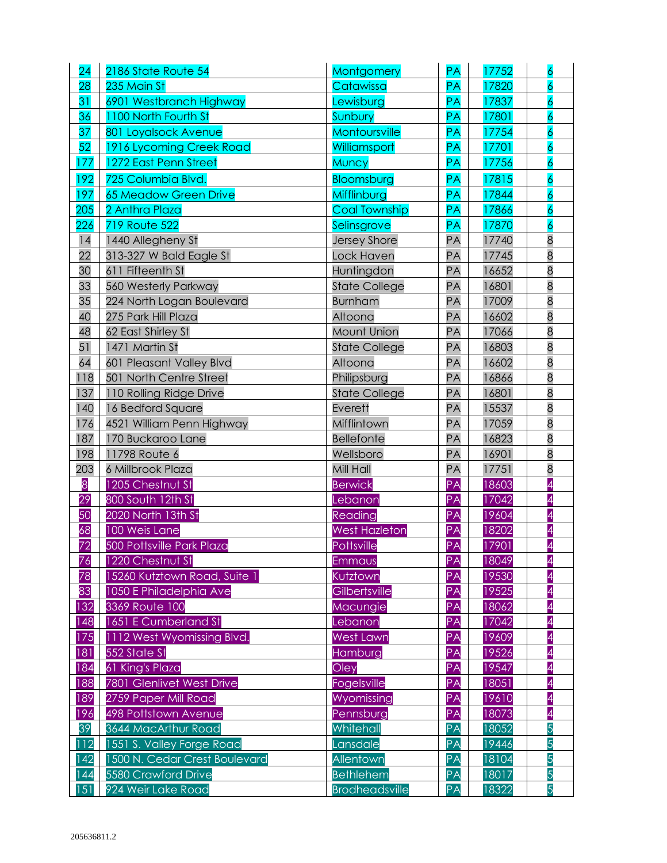| 24  | 2186 State Route 54           | Montgomery            | <b>PA</b> | 17752 | $\overline{6}$           |
|-----|-------------------------------|-----------------------|-----------|-------|--------------------------|
| 28  | 235 Main St                   | Catawissa             | PA        | 17820 | $\overline{6}$           |
| 31  | 6901 Westbranch Highway       | Lewisburg             | PA        | 17837 | $\overline{6}$           |
| 36  | 1100 North Fourth St          | Sunbury               | <b>PA</b> | 17801 | $\overline{6}$           |
| 37  | 801 Loyalsock Avenue          | Montoursville         | PA        | 17754 | $\overline{6}$           |
| 52  | 1916 Lycoming Creek Road      | Williamsport          | PA        | 17701 | $\overline{6}$           |
| 177 | 1272 East Penn Street         | Muncy                 | <b>PA</b> | 17756 | 6                        |
| 192 | 725 Columbia Blvd.            | Bloomsburg            | <b>PA</b> | 17815 | $\overline{6}$           |
| 197 | <b>65 Meadow Green Drive</b>  | Mifflinburg           | PA        | 17844 | $\overline{6}$           |
| 205 | 2 Anthra Plaza                | <b>Coal Township</b>  | PA        | 17866 | $\overline{6}$           |
| 226 | <b>719 Route 522</b>          | Selinsgrove           | PA        | 17870 | $\overline{6}$           |
| 14  | 1440 Allegheny St             | <b>Jersey Shore</b>   | PA        | 17740 | 8                        |
| 22  | 313-327 W Bald Eagle St       | Lock Haven            | PA        | 17745 | $\overline{8}$           |
| 30  | 611 Fifteenth St              | Huntingdon            | <b>PA</b> | 16652 | $\overline{8}$           |
| 33  | 560 Westerly Parkway          | <b>State College</b>  | PA        | 16801 | $\overline{8}$           |
| 35  | 224 North Logan Boulevard     | <b>Burnham</b>        | <b>PA</b> | 17009 | $\overline{8}$           |
| 40  | 275 Park Hill Plaza           | Altoona               | <b>PA</b> | 16602 | $\overline{8}$           |
| 48  | 62 East Shirley St            | Mount Union           | PA        | 17066 | $\overline{8}$           |
| 51  | 1471 Martin St                | <b>State College</b>  | PA        | 16803 | $\overline{8}$           |
| 64  | 601 Pleasant Valley Blvd      | Altoona               | PA        | 16602 | $\overline{8}$           |
| 118 | 501 North Centre Street       | Philipsburg           | PA        | 16866 | $\overline{8}$           |
| 137 | 110 Rolling Ridge Drive       | <b>State College</b>  | PA        | 16801 | $\overline{8}$           |
| 140 | 16 Bedford Square             | Everett               | <b>PA</b> | 15537 | $\overline{8}$           |
| 176 | 4521 William Penn Highway     | Mifflintown           | PA        | 17059 | $\overline{8}$           |
| 187 | 170 Buckaroo Lane             | <b>Bellefonte</b>     | PA        | 16823 | $\overline{8}$           |
| 198 | 11798 Route 6                 | Wellsboro             | <b>PA</b> | 16901 | $\overline{8}$           |
| 203 | 6 Millbrook Plaza             | Mill Hall             | PA        | 17751 | $\overline{8}$           |
| 8   | 1205 Chestnut St              | <b>Berwick</b>        | PA        | 18603 | $\overline{A}$           |
| 29  | 800 South 12th St             | Lebanon               | PA        | 17042 | 4                        |
| 50  | 2020 North 13th St            | Reading               | PA        | 19604 | $\overline{4}$           |
| 68  | 100 Weis Lane                 | <b>West Hazleton</b>  | PA        | 18202 | 4                        |
| 72  | 500 Pottsville Park Plaza     | Pottsville            | PA        | 17901 | 4                        |
| 76  | 1220 Chestnut St              | <b>Emmaus</b>         | PA        | 18049 | 4                        |
| 78  | 15260 Kutztown Road, Suite 1  | Kutztown              | PA        | 19530 | $\overline{\mathit{4}}$  |
| 83  | 1050 E Philadelphia Ave       | Gilbertsville         | PA        | 19525 | $\overline{\mathcal{A}}$ |
| 132 | 3369 Route 100                | Macungie              | PA        | 18062 | 4                        |
| 148 | 1651 E Cumberland St          | Lebanon               | PA        | 17042 | $\overline{A}$           |
| 175 | 1112 West Wyomissing Blvd.    | <b>West Lawn</b>      | PA        | 19609 | $\overline{A}$           |
| 181 | 552 State St                  | Hamburg               | PA        | 19526 | 4                        |
| 184 | 61 King's Plaza               | Oley                  | PA        | 19547 | $\overline{A}$           |
| 188 | 7801 Glenlivet West Drive     | Fogelsville           | PA        | 18051 | $\overline{A}$           |
| 189 | 2759 Paper Mill Road          | Wyomissing            | PA        | 19610 | $\overline{4}$           |
| 196 | 498 Pottstown Avenue          | Pennsburg             | PA        | 18073 | $\overline{A}$           |
| 39  | 3644 MacArthur Road           | Whitehall             | PA        | 18052 | 5                        |
| 112 | 1551 S. Valley Forge Road     | Lansdale              | PA        | 19446 | 5                        |
| 142 | 1500 N. Cedar Crest Boulevard | Allentown             | PA        | 18104 | 5                        |
| 144 | 5580 Crawford Drive           | <b>Bethlehem</b>      | PA        | 18017 | 5                        |
| 151 | 924 Weir Lake Road            | <b>Brodheadsville</b> | PA        | 18322 | 5                        |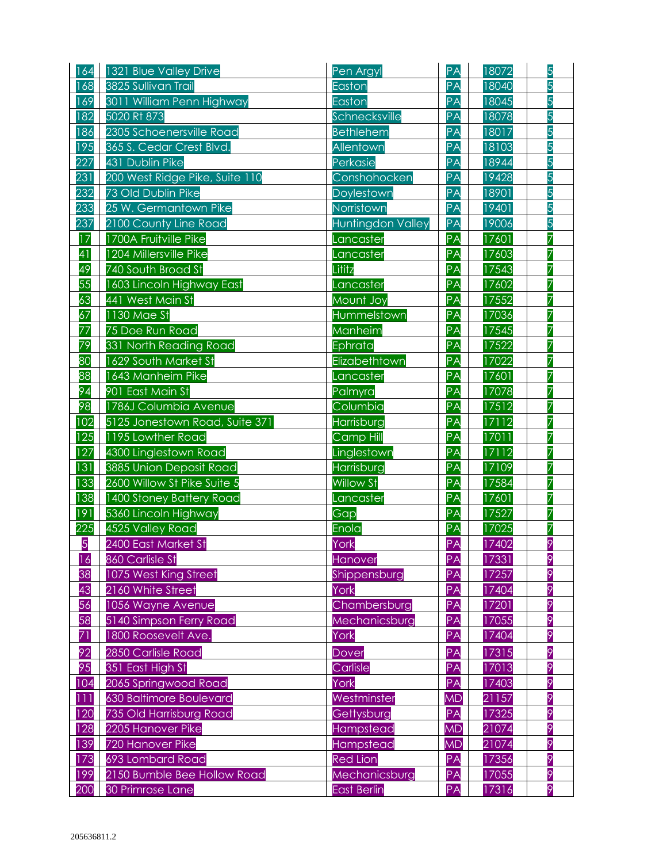| 164 | 1321 Blue Valley Drive          | Pen Argyl         | PA        | 18072 | 5 |
|-----|---------------------------------|-------------------|-----------|-------|---|
| 168 | 3825 Sullivan Trail             | Easton            | PA        | 18040 | 5 |
| 169 | 3011 William Penn Highway       | Easton            | PA        | 18045 | 5 |
| 182 | 5020 Rt 873                     | Schnecksville     | PA        | 18078 | 5 |
| 186 | 2305 Schoenersville Road        | <b>Bethlehem</b>  | PA        | 18017 | 5 |
| 195 | 365 S. Cedar Crest Blvd.        | Allentown         | PA        | 18103 | 5 |
| 227 | 431 Dublin Pike                 | Perkasie          | PA        | 18944 | 5 |
| 231 | 200 West Ridge Pike, Suite 110  | Conshohocken      | PA        | 19428 | 5 |
| 232 | 73 Old Dublin Pike              | Doylestown        | PA        | 18901 | 5 |
| 233 | 25 W. Germantown Pike           | Norristown        | PA        | 19401 | 5 |
| 237 | 2100 County Line Road           | Huntingdon Valley | PA        | 19006 | 5 |
| 17  | 1700A Fruitville Pike           | Lancaster         | PA        | 17601 | 7 |
| 41  | 1204 Millersville Pike          | Lancaster         | PA        | 17603 | 7 |
| 49  | 740 South Broad St              | Lititz            | PA        | 17543 | 7 |
| 55  | 1603 Lincoln Highway East       | Lancaster         | <b>PA</b> | 17602 | 7 |
| 63  | 441 West Main St                | Mount Joy         | PA        | 17552 | 7 |
| 67  | 1130 Mae St                     | Hummelstown       | PA        | 17036 | 7 |
| 77  | 75 Doe Run Road                 | Manheim           | <b>PA</b> | 17545 | 7 |
| 79  | 331 North Reading Road          | Ephrata           | PA        | 17522 | 7 |
| 80  | 1629 South Market St            | Elizabethtown     | PA        | 17022 | 7 |
| 88  | 1643 Manheim Pike               | Lancaster         | PA        | 17601 | 7 |
| 94  | 901 East Main St                | Palmyra           | PA        | 17078 | 7 |
| 98  | 1786J Columbia Avenue           | Columbia          | PA        | 17512 | 7 |
| 102 | 5125 Jonestown Road, Suite 371  | Harrisburg        | PA        | 17112 | 7 |
| 125 | 1195 Lowther Road               | <b>Camp Hill</b>  | PA        | 17011 | 7 |
| 127 | 4300 Linglestown Road           | Linglestown       | PA        | 17112 | 7 |
| 131 | 3885 Union Deposit Road         | Harrisburg        | PA        | 17109 | 7 |
| 133 | 2600 Willow St Pike Suite 5     | <b>Willow St</b>  | PA        | 17584 | 7 |
| 138 | <b>1400 Stoney Battery Road</b> | Lancaster         | PA        | 17601 | 7 |
| 191 | 5360 Lincoln Highway            | Gap               | PA        | 17527 | 7 |
| 225 | 4525 Valley Road                | Enola             | PA        | 17025 | 7 |
| 5   | 2400 East Market St             | York              | PA        | 17402 | 9 |
| 16  | 860 Carlisle St                 | Hanover           | <b>PA</b> | 17331 | 9 |
| 38  | 1075 West King Street           | Shippensburg      | PA        | 17257 | 9 |
| 43  | 2160 White Street               | York              | PA        | 17404 | 9 |
| 56  | 1056 Wayne Avenue               | Chambersburg      | PA        | 17201 | 9 |
| 58  | 5140 Simpson Ferry Road         | Mechanicsburg     | PA        | 17055 | 9 |
| 71  | 1800 Roosevelt Ave.             | York              | PA        | 17404 | 9 |
| 92  | 2850 Carlisle Road              | Dover             | PA        | 17315 | 9 |
| 95  | 351 East High St                | Carlisle          | PA        | 17013 | 9 |
| 104 | 2065 Springwood Road            | York              | <b>PA</b> | 17403 | 9 |
| 111 | 630 Baltimore Boulevard         | Westminster       | <b>MD</b> | 21157 | 9 |
| 120 | 735 Old Harrisburg Road         | Gettysburg        | PA        | 17325 | 9 |
| 128 | 2205 Hanover Pike               | Hampstead         | <b>MD</b> | 21074 | 9 |
| 139 | 720 Hanover Pike                | Hampstead         | <b>MD</b> | 21074 | 9 |
| 173 | 693 Lombard Road                | <b>Red Lion</b>   | PA        | 17356 | 9 |
| 199 | 2150 Bumble Bee Hollow Road     | Mechanicsburg     | <b>PA</b> | 17055 | 9 |
| 200 | 30 Primrose Lane                | East Berlin       | <b>PA</b> | 17316 | 9 |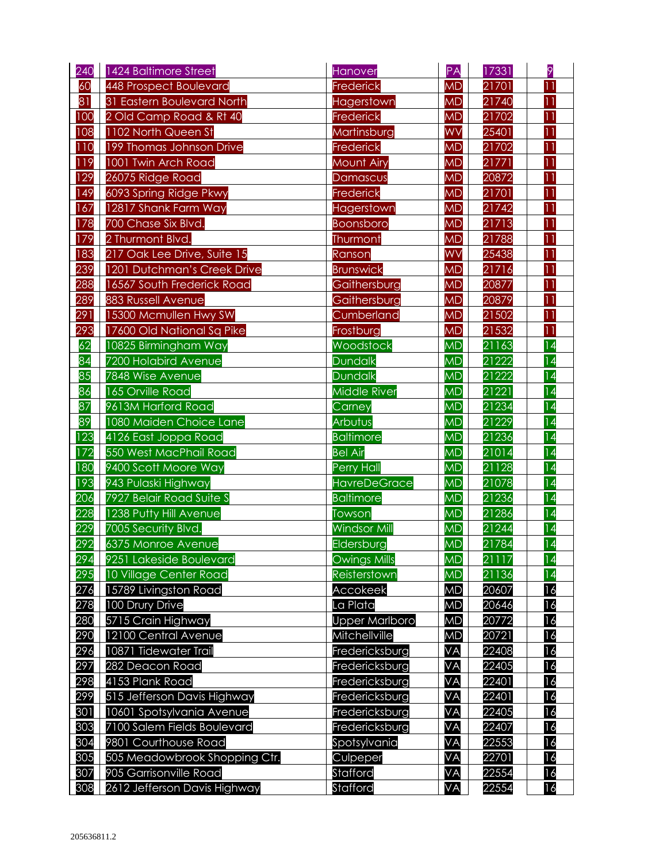| 240 | 1424 Baltimore Street         | Hanover               | PA        | 17331 | 9               |
|-----|-------------------------------|-----------------------|-----------|-------|-----------------|
| 60  | 448 Prospect Boulevard        | Frederick             | <b>MD</b> | 21701 | $\overline{11}$ |
| 81  | 31 Eastern Boulevard North    | Hagerstown            | <b>MD</b> | 21740 | 11              |
| 100 | 2 Old Camp Road & Rt 40       | Frederick             | <b>MD</b> | 21702 | 11              |
| 108 | 1102 North Queen St           | Martinsburg           | WV        | 25401 | $\overline{11}$ |
| 110 | 199 Thomas Johnson Drive      | Frederick             | <b>MD</b> | 21702 | 11              |
| 119 | 1001 Twin Arch Road           | <b>Mount Airy</b>     | <b>MD</b> | 21771 | $\overline{11}$ |
| 129 | 26075 Ridge Road              | Damascus              | <b>MD</b> | 20872 | $\overline{11}$ |
| 149 | 6093 Spring Ridge Pkwy        | Frederick             | <b>MD</b> | 21701 | 11              |
| 167 | 12817 Shank Farm Way          | Hagerstown            | <b>MD</b> | 21742 | 11              |
| 178 | 700 Chase Six Blvd.           | Boonsboro             | <b>MD</b> | 21713 | $\overline{11}$ |
| 179 | 2 Thurmont Blvd.              | Thurmont              | <b>MD</b> | 21788 | 11              |
| 183 | 217 Oak Lee Drive, Suite 15   | Ranson                | <b>WV</b> | 25438 | 11              |
| 239 | 1201 Dutchman's Creek Drive   | <b>Brunswick</b>      | <b>MD</b> | 21716 | $\overline{11}$ |
| 288 | 16567 South Frederick Road    | Gaithersburg          | <b>MD</b> | 20877 | 11              |
| 289 | 883 Russell Avenue            | Gaithersburg          | <b>MD</b> | 20879 | 11              |
| 291 | 15300 Mcmullen Hwy SW         | Cumberland            | <b>MD</b> | 21502 | $\overline{11}$ |
| 293 | 17600 Old National Sq Pike    | Frostburg             | <b>MD</b> | 21532 | 11              |
| 62  | 10825 Birmingham Way          | Woodstock             | <b>MD</b> | 21163 | 14              |
| 84  | 7200 Holabird Avenue          | Dundalk               | <b>MD</b> | 21222 | 14              |
| 85  | 7848 Wise Avenue              | <b>Dundalk</b>        | <b>MD</b> | 21222 | 14              |
| 86  | 165 Orville Road              | <b>Middle River</b>   | <b>MD</b> | 21221 | 14              |
| 87  | 9613M Harford Road            | Carney                | <b>MD</b> | 21234 | 14              |
| 89  | 1080 Maiden Choice Lane       | Arbutus               | <b>MD</b> | 21229 | 14              |
| 123 | 4126 East Joppa Road          | <b>Baltimore</b>      | <b>MD</b> | 21236 | 14              |
| 172 | 550 West MacPhail Road        | <b>Bel Air</b>        | <b>MD</b> | 21014 | 14              |
| 180 | 9400 Scott Moore Way          | Perry Hall            | <b>MD</b> | 21128 | 14              |
| 193 | 943 Pulaski Highway           | <b>HavreDeGrace</b>   | <b>MD</b> | 21078 | 14              |
| 206 | 7927 Belair Road Suite S      | <b>Baltimore</b>      | <b>MD</b> | 21236 | 14              |
| 228 | 1238 Putty Hill Avenue        | Towson                | <b>MD</b> | 21286 | 14              |
| 229 | 7005 Security Blvd.           | <b>Windsor Mill</b>   | <b>MD</b> | 21244 | 14              |
| 292 | 6375 Monroe Avenue            | Eldersburg            | <b>MD</b> | 21784 | 14              |
| 294 | 9251 Lakeside Boulevard       | <b>Owings Mills</b>   | <b>MD</b> | 21117 | $\overline{4}$  |
| 295 | 10 Village Center Road        | Reisterstown          | <b>MD</b> | 21136 | 14              |
| 276 | 15789 Livingston Road         | Accokeek              | <b>MD</b> | 20607 | 16              |
| 278 | 100 Drury Drive               | La Plata              | <b>MD</b> | 20646 | 16              |
| 280 | 5715 Crain Highway            | <b>Upper Marlboro</b> | <b>MD</b> | 20772 | 16              |
| 290 | 12100 Central Avenue          | Mitchellville         | <b>MD</b> | 20721 | 16              |
| 296 | 10871 Tidewater Trail         | Fredericksburg        | <b>VA</b> | 22408 | 16              |
| 297 | 282 Deacon Road               | Fredericksburg        | <b>VA</b> | 22405 | 16              |
| 298 | 4153 Plank Road               | Fredericksburg        | VA        | 22401 | 16              |
| 299 | 515 Jefferson Davis Highway   | Fredericksburg        | <b>VA</b> | 22401 | 16              |
| 301 | 10601 Spotsylvania Avenue     | Fredericksburg        | <b>VA</b> | 22405 | 16              |
| 303 | 7100 Salem Fields Boulevard   | Fredericksburg        | VA        | 22407 | 16              |
| 304 | 9801 Courthouse Road          | Spotsylvania          | <b>VA</b> | 22553 | 16              |
| 305 | 505 Meadowbrook Shopping Ctr. | Culpeper              | <b>VA</b> | 22701 | 16              |
| 307 | 905 Garrisonville Road        | Stafford              | <b>VA</b> | 22554 | 16              |
| 308 | 2612 Jefferson Davis Highway  | Stafford              | VA        | 22554 | 16              |